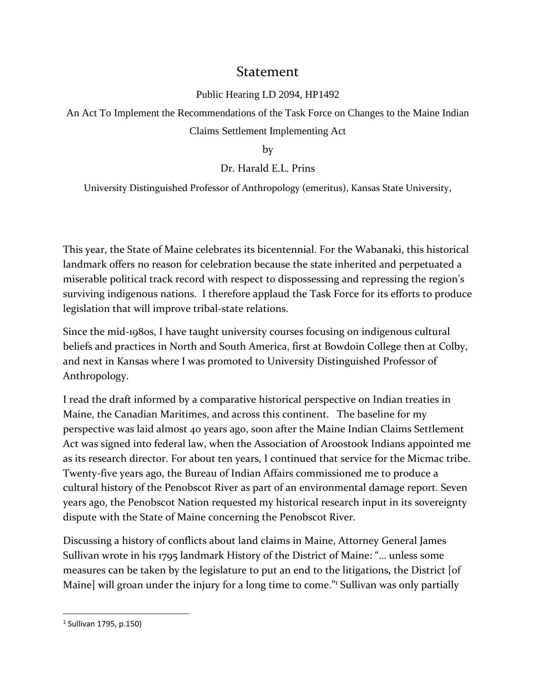## Statement

## Public Hearing [LD 2094, HP1492](http://legislature.maine.gov/bills/display_ps.asp?PID=1456&snum=129&paper=HP1492)

An Act To Implement the Recommendations of the Task Force on Changes to the Maine Indian Claims Settlement Implementing Act

by

## Dr. Harald E.L. Prins

University Distinguished Professor of Anthropology (emeritus), Kansas State University,

This year, the State of Maine celebrates its bicentennial. For the Wabanaki, this historical landmark offers no reason for celebration because the state inherited and perpetuated a miserable political track record with respect to dispossessing and repressing the region's surviving indigenous nations. I therefore applaud the Task Force for its efforts to produce legislation that will improve tribal-state relations.

Since the mid-1980s, I have taught university courses focusing on indigenous cultural beliefs and practices in North and South America, first at Bowdoin College then at Colby, and next in Kansas where I was promoted to University Distinguished Professor of Anthropology.

I read the draft informed by a comparative historical perspective on Indian treaties in Maine, the Canadian Maritimes, and across this continent. The baseline for my perspective was laid almost 40 years ago, soon after the Maine Indian Claims Settlement Act was signed into federal law, when the Association of Aroostook Indians appointed me as its research director. For about ten years, I continued that service for the Micmac tribe. Twenty-five years ago, the Bureau of Indian Affairs commissioned me to produce a cultural history of the Penobscot River as part of an environmental damage report. Seven years ago, the Penobscot Nation requested my historical research input in its sovereignty dispute with the State of Maine concerning the Penobscot River.

Discussing a history of conflicts about land claims in Maine, Attorney General James Sullivan wrote in his 1795 landmark History of the District of Maine: "… unless some measures can be taken by the legislature to put an end to the litigations, the District [of Maine] will groan under the injury for a long time to come." Sullivan was only partially

 $\overline{\phantom{a}}$ 

<sup>1</sup> Sullivan 1795, p.150)